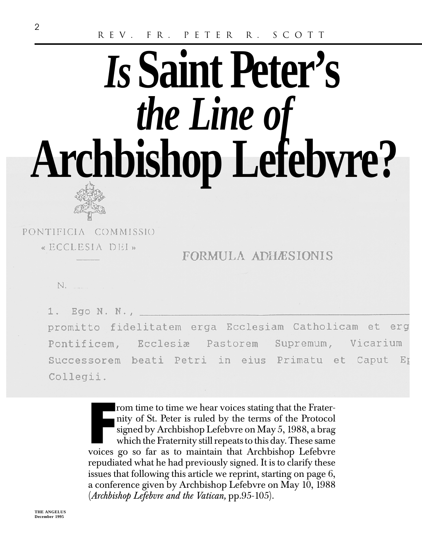# *Is***Saint Peter's** *the Line of* **Archbishop Lefebvre?**



PONTIFICIA COMMISSIO « ECCLESIA DEI»

FORMULA ADHÆSIONIS

N.

Ego N. N., promitto fidelitatem erga Ecclesiam Catholicam et erg Pontificem, Ecclesia Pastorem Supremum, Vicarium Successorem beati Petri in eius Primatu et Caput Er Collegii.

> From time to time we hear voices stating that the Frater-<br>nity of St. Peter is ruled by the terms of the Protocol<br>signed by Archbishop Lefebvre on May 5, 1988, a brag<br>which the Fraternity still repeats to this day. These s nity of St. Peter is ruled by the terms of the Protocol signed by Archbishop Lefebvre on May 5, 1988, a brag which the Fraternity still repeats to this day. These same voices go so far as to maintain that Archbishop Lefebvre repudiated what he had previously signed. It is to clarify these issues that following this article we reprint, starting on page 6, a conference given by Archbishop Lefebvre on May 10, 1988 (*Archbishop Lefebvre and the Vatican,* pp.95-105).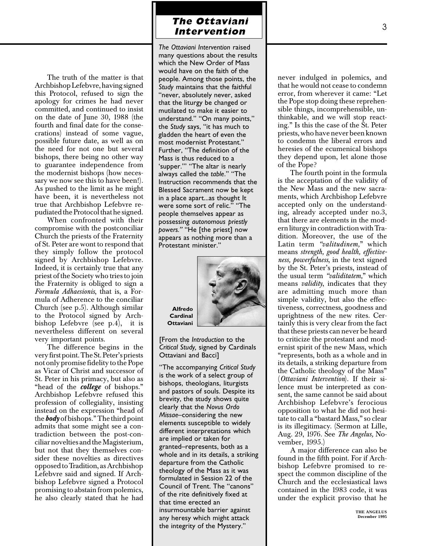# **The Ottaviani Intervention**

The truth of the matter is that Archbishop Lefebvre, having signed this Protocol, refused to sign the apology for crimes he had never committed, and continued to insist on the date of June 30, 1988 (the fourth and final date for the consecrations) instead of some vague, possible future date, as well as on the need for not one but several bishops, there being no other way to guarantee independence from the modernist bishops (how necessary we now see this to have been!). As pushed to the limit as he might have been, it is nevertheless not true that Archbishop Lefebvre repudiated the Protocol that he signed.

When confronted with their compromise with the postconciliar Church the priests of the Fraternity of St. Peter are wont to respond that they simply follow the protocol signed by Archbishop Lefebvre. Indeed, it is certainly true that any priest of the Society who tries to join the Fraternity is obliged to sign a *Formula Adhaesionis*, that is, a Formula of Adherence to the conciliar Church (see p.5). Although similar to the Protocol signed by Archbishop Lefebvre (see p.4), it is nevertheless different on several very important points.

The difference begins in the very first point. The St. Peter's priests not only promise fidelity to the Pope as Vicar of Christ and successor of St. Peter in his primacy, but also as "head of the *college* of bishops." Archbishop Lefebvre refused this profession of collegiality, insisting instead on the expression "head of the *body* of bishops." The third point admits that some might see a contradiction between the post-conciliar novelties and the Magisterium, but not that they themselves consider these novelties as directives opposed to Tradition, as Archbishop Lefebvre said and signed. If Archbishop Lefebvre signed a Protocol promising to abstain from polemics, he also clearly stated that he had

*The Ottaviani Intervention* raised many questions about the results which the New Order of Mass would have on the faith of the people. Among those points, the *Study* maintains that the faithful "never, absolutely never, asked that the liturgy be changed or mutilated to make it easier to understand." "On many points," the *Study* says, "it has much to gladden the heart of even the most modernist Protestant." Further, "The definition of the Mass is thus reduced to a 'supper.'" "The altar is nearly always called the *table*." "The Instruction recommends that the Blessed Sacrament now be kept in a place apart...as thought It were some sort of relic." "The people themselves appear as possessing *autonomous priestly powers."* "He [the priest] now appears as nothing more than a Protestant minister."



**Alfredo Cardinal Ottaviani**

[From the *Introduction* to the *Critical Study,* signed by Cardinals Ottaviani and Bacci]

"The accompanying *Critical Study* is the work of a select group of bishops, theologians, liturgists and pastors of souls. Despite its brevity, the study shows quite clearly that the *Novus Ordo Missae*–considering the new elements susceptible to widely different interpretations which are implied or taken for granted–represents, both as a whole and in its details, a striking departure from the Catholic theology of the Mass as it was formulated in Session 22 of the Council of Trent. The "canons" of the rite definitively fixed at that time erected an insurmountable barrier against any heresy which might attack the integrity of the Mystery."

never indulged in polemics, and that he would not cease to condemn error, from wherever it came: "Let the Pope stop doing these reprehensible things, incomprehensible, unthinkable, and we will stop reacting." Is this the case of the St. Peter priests, who have never been known to condemn the liberal errors and heresies of the ecumenical bishops they depend upon, let alone those of the Pope?

The fourth point in the formula is the acceptation of the validity of the New Mass and the new sacraments, which Archbishop Lefebvre accepted only on the understanding, already accepted under no.3, that there are elements in the modern liturgy in contradiction with Tradition. Moreover, the use of the Latin term *"valitudinem,*" which means *strength, good health, effectiveness, powerfulness*, in the text signed by the St. Peter's priests, instead of the usual term *"validitatem,*" which means *validity*, indicates that they are admitting much more than simple validity, but also the effectiveness, correctness, goodness and uprightness of the new rites. Certainly this is very clear from the fact that these priests can never be heard to criticize the protestant and modernist spirit of the new Mass, which "represents, both as a whole and in its details, a striking departure from the Catholic theology of the Mass" (*Ottaviani Intervention*). If their silence must be interpreted as consent, the same cannot be said about Archbishop Lefebvre's ferocious opposition to what he did not hesitate to call a "bastard Mass," so clear is its illegitimacy. (Sermon at Lille, Aug. 29, 1976. See *The Angelus,* November, 1995.)

A major difference can also be found in the fifth point. For if Archbishop Lefebvre promised to respect the common discipline of the Church and the ecclesiastical laws contained in the 1983 code, it was under the explicit proviso that he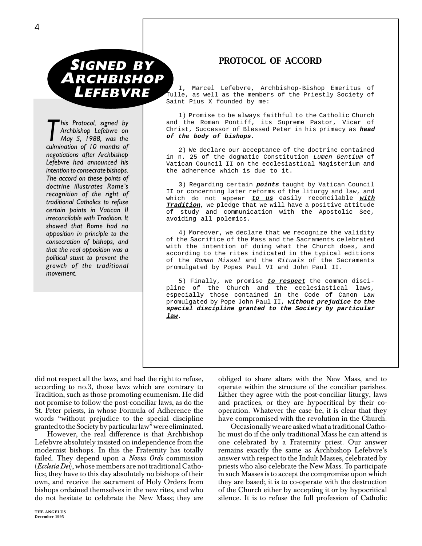# N. **SIGNED BY ARCHBISHOP LEFEBVRE**

*This Protocol, signed by*<br>*Archbishop Lefebvre on*<br>*May 5, 1988, was the*<br>*Culmination of 10 months of Archbishop Lefebvre on culmination of 10 months of negotiations after Archbishop Lefebvre had announced his intention to consecrate bishops. The accord on these points of doctrine illustrates Rome's recognition of the right of traditional Catholics to refuse certain points in Vatican II irreconcilable with Tradition. It showed that Rome had no opposition in principle to the consecration of bishops, and that the real opposition was a political stunt to prevent the growth of the traditional movement.*

#### **PROTOCOL OF ACCORD**

I, Marcel Lefebvre, Archbishop-Bishop Emeritus of Tulle, as well as the members of the Priestly Society of Saint Pius X founded by me:

1) Promise to be always faithful to the Catholic Church and the Roman Pontiff, its Supreme Pastor, Vicar of Christ, Successor of Blessed Peter in his primacy as **head of the body of bishops**.

2) We declare our acceptance of the doctrine contained in n. 25 of the dogmatic Constitution Lumen Gentium of Vatican Council II on the ecclesiastical Magisterium and the adherence which is due to it.

3) Regarding certain **points** taught by Vatican Council II or concerning later reforms of the liturgy and law, and which do not appear **to us** easily reconcilable **with Tradition**, we pledge that we will have a positive attitude of study and communication with the Apostolic See, avoiding all polemics.

4) Moreover, we declare that we recognize the validity of the Sacrifice of the Mass and the Sacraments celebrated with the intention of doing what the Church does, and according to the rites indicated in the typical editions of the Roman Missal and the Rituals of the Sacraments promulgated by Popes Paul VI and John Paul II.

5) Finally, we promise **to respect** the common discipline of the Church and the ecclesiastical laws, especially those contained in the Code of Canon Law promulgated by Pope John Paul II, **without prejudice to the special discipline granted to the Society by particular law**.

did not respect all the laws, and had the right to refuse, according to no.3, those laws which are contrary to Tradition, such as those promoting ecumenism. He did not promise to follow the post-conciliar laws, as do the St. Peter priests, in whose Formula of Adherence the words "without prejudice to the special discipline granted to the Society by particular law" were eliminated.

However, the real difference is that Archbishop Lefebvre absolutely insisted on independence from the modernist bishops. In this the Fraternity has totally failed. They depend upon a *Novus Ordo* commission (*Ecclesia Dei*), whose members are not traditional Catholics; they have to this day absolutely no bishops of their own, and receive the sacrament of Holy Orders from bishops ordained themselves in the new rites, and who do not hesitate to celebrate the New Mass; they are

**THE ANGELUS** December 1995

obliged to share altars with the New Mass, and to operate within the structure of the conciliar parishes. Either they agree with the post-conciliar liturgy, laws and practices, or they are hypocritical by their cooperation. Whatever the case be, it is clear that they have compromised with the revolution in the Church.

Occasionally we are asked what a traditional Catholic must do if the only traditional Mass he can attend is one celebrated by a Fraternity priest. Our answer remains exactly the same as Archbishop Lefebvre's answer with respect to the Indult Masses, celebrated by priests who also celebrate the New Mass. To participate in such Masses is to accept the compromise upon which they are based; it is to co-operate with the destruction of the Church either by accepting it or by hypocritical silence. It is to refuse the full profession of Catholic